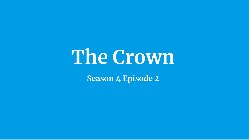# **The Crown**

**Season 4 Episode 2**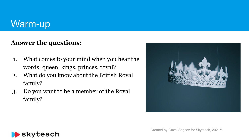### Warm-up

#### **Answer the questions:**

- 1. What comes to your mind when you hear the words: queen, kings, princes, royal?
- 2. What do you know about the British Royal family?
- 3. Do you want to be a member of the Royal family?





Created by Guzel Sagsoz for Skyteach, 2021©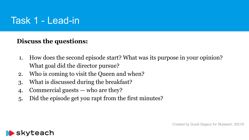# Task 1 - Lead-in

#### **Discuss the questions:**

- 1. How does the second episode start? What was its purpose in your opinion? What goal did the director pursue?
- 2. Who is coming to visit the Queen and when?
- 3. What is discussed during the breakfast?
- 4. Commercial guests who are they?
- 5. Did the episode get you rapt from the first minutes?



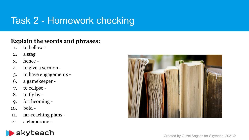# Task 2 - Homework checking

#### **Explain the words and phrases:**

- 1. to bellow -
- 2. a stag
- 3. hence -
- 4. to give a sermon -
- 5. to have engagements -
- 6. a gamekeeper -
- 7. to eclipse -
- 8. to fly by -
- 9. forthcoming -
- 10. bold -
- 11. far-reaching plans -
- 12. a chaperone -



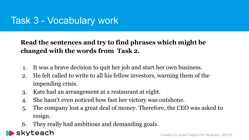## Task 3 - Vocabulary work

### **Read the sentences and try to find phrases which might be changed with the words from Task 2.**

- 1. It was a brave [decision](https://dictionary.cambridge.org/ru/%D1%81%D0%BB%D0%BE%D0%B2%D0%B0%D1%80%D1%8C/%D0%B0%D0%BD%D0%B3%D0%BB%D0%B8%D0%B9%D1%81%D0%BA%D0%B8%D0%B9/decision) to [quit](https://dictionary.cambridge.org/ru/%D1%81%D0%BB%D0%BE%D0%B2%D0%B0%D1%80%D1%8C/%D0%B0%D0%BD%D0%B3%D0%BB%D0%B8%D0%B9%D1%81%D0%BA%D0%B8%D0%B9/quit) her [job](https://dictionary.cambridge.org/ru/%D1%81%D0%BB%D0%BE%D0%B2%D0%B0%D1%80%D1%8C/%D0%B0%D0%BD%D0%B3%D0%BB%D0%B8%D0%B9%D1%81%D0%BA%D0%B8%D0%B9/job) and [start](https://dictionary.cambridge.org/ru/%D1%81%D0%BB%D0%BE%D0%B2%D0%B0%D1%80%D1%8C/%D0%B0%D0%BD%D0%B3%D0%BB%D0%B8%D0%B9%D1%81%D0%BA%D0%B8%D0%B9/start) her own [business](https://dictionary.cambridge.org/ru/%D1%81%D0%BB%D0%BE%D0%B2%D0%B0%D1%80%D1%8C/%D0%B0%D0%BD%D0%B3%D0%BB%D0%B8%D0%B9%D1%81%D0%BA%D0%B8%D0%B9/business).
- 2. He felt called to write to all his fellow investors, warning them of the impending crisis.
- 3. Kate had an arrangement at a restaurant at eight.
- 4. She hasn't even noticed how fast her victory was outshone.
- 5. The company lost a great deal of money. Therefore, the CEO was asked to resign.
- 6. They really had ambitious and demanding goals.

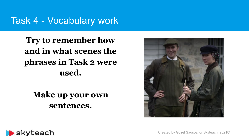### Task 4 - Vocabulary work

**Try to remember how and in what scenes the phrases in Task 2 were used.** 

**Make up your own sentences.** 





Created by Guzel Sagsoz for Skyteach, 2021©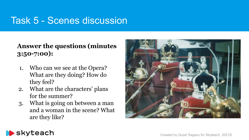## Task 5 - Scenes discussion

#### **Answer the questions (minutes 3:50-7:00):**

- 1. Who can we see at the Opera? What are they doing? How do they feel?
- 2. What are the characters' plans for the summer?
- 3. What is going on between a man and a woman in the scene? What are they like?



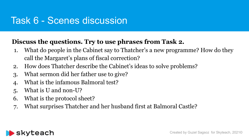### Task 6 - Scenes discussion

### **Discuss the questions. Try to use phrases from Task 2.**

- 1. What do people in the Cabinet say to Thatcher's a new programme? How do they call the Margaret's plans of fiscal correction?
- 2. How does Thatcher describe the Cabinet's ideas to solve problems?
- 3. What sermon did her father use to give?
- 4. What is the infamous Balmoral test?
- 5. What is U and non-U?
- 6. What is the protocol sheet?
- 7. What surprises Thatcher and her husband first at Balmoral Castle?

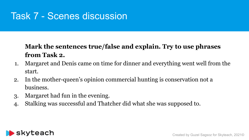# Task 7 - Scenes discussion

### **Mark the sentences true/false and explain. Try to use phrases from Task 2.**

- 1. Margaret and Denis came on time for dinner and everything went well from the start.
- 2. In the mother-queen's opinion commercial hunting is conservation not a business.
- 3. Margaret had fun in the evening.
- 4. Stalking was successful and Thatcher did what she was supposed to.

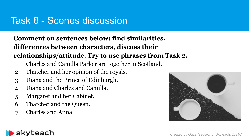### Task 8 - Scenes discussion

**Comment on sentences below: find similarities, differences between characters, discuss their relationships/attitude. Try to use phrases from Task 2.**

- 1. Charles and Camilla Parker are together in Scotland.
- 2. Thatcher and her opinion of the royals.
- 3. Diana and the Prince of Edinburgh.
- 4. Diana and Charles and Camilla.
- 5. Margaret and her Cabinet.
- 6. Thatcher and the Queen.
- 7. Charles and Anna.



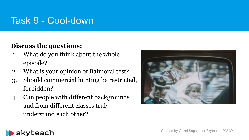# Task 9 - Cool-down

### **Discuss the questions:**

- 1. What do you think about the whole episode?
- 2. What is your opinion of Balmoral test?
- 3. Should commercial hunting be restricted, forbidden?
- 4. Can people with different backgrounds and from different classes truly understand each other?



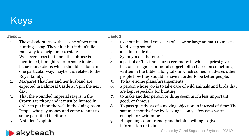# Keys

#### **Task 1.**

- 1. The episode starts with a scene of two men hunting a stag. They hit it but it didn't die, ran away to a neighbour's estate. We never cross that line - this phrase is mentioned, it might refer to some topics, behaviour, actions which should be done in one particular way, maybe it is related to the Royal family.
- 2. Margaret Thatcher and her husband are expected in Balmoral Castle at 3 pm the next day.
- 3. That the wounded imperial stag is in the Crown's territory and it must be hunted in order to put it on the wall in the dning-room.
- 4. People who pay money and come to hunt to some permitted territories.
- 5. A student's opinion.

#### **Task 2.**

- 1. to [shout](https://dictionary.cambridge.org/ru/%D1%81%D0%BB%D0%BE%D0%B2%D0%B0%D1%80%D1%8C/%D0%B0%D0%BD%D0%B3%D0%BB%D0%B8%D0%B9%D1%81%D0%BA%D0%B8%D0%B9/shout) in a [loud](https://dictionary.cambridge.org/ru/%D1%81%D0%BB%D0%BE%D0%B2%D0%B0%D1%80%D1%8C/%D0%B0%D0%BD%D0%B3%D0%BB%D0%B8%D0%B9%D1%81%D0%BA%D0%B8%D0%B9/loud) [voice](https://dictionary.cambridge.org/ru/%D1%81%D0%BB%D0%BE%D0%B2%D0%B0%D1%80%D1%8C/%D0%B0%D0%BD%D0%B3%D0%BB%D0%B8%D0%B9%D1%81%D0%BA%D0%B8%D0%B9/voice), or (of a [cow](https://dictionary.cambridge.org/ru/%D1%81%D0%BB%D0%BE%D0%B2%D0%B0%D1%80%D1%8C/%D0%B0%D0%BD%D0%B3%D0%BB%D0%B8%D0%B9%D1%81%D0%BA%D0%B8%D0%B9/cow) or [large](https://dictionary.cambridge.org/ru/%D1%81%D0%BB%D0%BE%D0%B2%D0%B0%D1%80%D1%8C/%D0%B0%D0%BD%D0%B3%D0%BB%D0%B8%D0%B9%D1%81%D0%BA%D0%B8%D0%B9/large) [animal](https://dictionary.cambridge.org/ru/%D1%81%D0%BB%D0%BE%D0%B2%D0%B0%D1%80%D1%8C/%D0%B0%D0%BD%D0%B3%D0%BB%D0%B8%D0%B9%D1%81%D0%BA%D0%B8%D0%B9/animal)) to make a [loud,](https://dictionary.cambridge.org/ru/%D1%81%D0%BB%D0%BE%D0%B2%D0%B0%D1%80%D1%8C/%D0%B0%D0%BD%D0%B3%D0%BB%D0%B8%D0%B9%D1%81%D0%BA%D0%B8%D0%B9/loud) [deep](https://dictionary.cambridge.org/ru/%D1%81%D0%BB%D0%BE%D0%B2%D0%B0%D1%80%D1%8C/%D0%B0%D0%BD%D0%B3%D0%BB%D0%B8%D0%B9%D1%81%D0%BA%D0%B8%D0%B9/deep) [sound](https://dictionary.cambridge.org/ru/%D1%81%D0%BB%D0%BE%D0%B2%D0%B0%D1%80%D1%8C/%D0%B0%D0%BD%D0%B3%D0%BB%D0%B8%D0%B9%D1%81%D0%BA%D0%B8%D0%B9/sound)
- 2. an [adult](https://dictionary.cambridge.org/ru/%D1%81%D0%BB%D0%BE%D0%B2%D0%B0%D1%80%D1%8C/%D0%B0%D0%BD%D0%B3%D0%BB%D0%B8%D0%B9%D1%81%D0%BA%D0%B8%D0%B9/adult) [male](https://dictionary.cambridge.org/ru/%D1%81%D0%BB%D0%BE%D0%B2%D0%B0%D1%80%D1%8C/%D0%B0%D0%BD%D0%B3%D0%BB%D0%B8%D0%B9%D1%81%D0%BA%D0%B8%D0%B9/male) [deer](https://dictionary.cambridge.org/ru/%D1%81%D0%BB%D0%BE%D0%B2%D0%B0%D1%80%D1%8C/%D0%B0%D0%BD%D0%B3%D0%BB%D0%B8%D0%B9%D1%81%D0%BA%D0%B8%D0%B9/deer)
- 3. Synonym of "therefore"
- 4. a [part](https://dictionary.cambridge.org/ru/%D1%81%D0%BB%D0%BE%D0%B2%D0%B0%D1%80%D1%8C/%D0%B0%D0%BD%D0%B3%D0%BB%D0%B8%D0%B9%D1%81%D0%BA%D0%B8%D0%B9/part) of a [Christian](https://dictionary.cambridge.org/ru/%D1%81%D0%BB%D0%BE%D0%B2%D0%B0%D1%80%D1%8C/%D0%B0%D0%BD%D0%B3%D0%BB%D0%B8%D0%B9%D1%81%D0%BA%D0%B8%D0%B9/christian) [church](https://dictionary.cambridge.org/ru/%D1%81%D0%BB%D0%BE%D0%B2%D0%B0%D1%80%D1%8C/%D0%B0%D0%BD%D0%B3%D0%BB%D0%B8%D0%B9%D1%81%D0%BA%D0%B8%D0%B9/church) [ceremony](https://dictionary.cambridge.org/ru/%D1%81%D0%BB%D0%BE%D0%B2%D0%B0%D1%80%D1%8C/%D0%B0%D0%BD%D0%B3%D0%BB%D0%B8%D0%B9%D1%81%D0%BA%D0%B8%D0%B9/ceremony) in which a [priest](https://dictionary.cambridge.org/ru/%D1%81%D0%BB%D0%BE%D0%B2%D0%B0%D1%80%D1%8C/%D0%B0%D0%BD%D0%B3%D0%BB%D0%B8%D0%B9%D1%81%D0%BA%D0%B8%D0%B9/priest) gives a [talk](https://dictionary.cambridge.org/ru/%D1%81%D0%BB%D0%BE%D0%B2%D0%B0%D1%80%D1%8C/%D0%B0%D0%BD%D0%B3%D0%BB%D0%B8%D0%B9%D1%81%D0%BA%D0%B8%D0%B9/talk) on a [religious](https://dictionary.cambridge.org/ru/%D1%81%D0%BB%D0%BE%D0%B2%D0%B0%D1%80%D1%8C/%D0%B0%D0%BD%D0%B3%D0%BB%D0%B8%D0%B9%D1%81%D0%BA%D0%B8%D0%B9/religious) or [moral](https://dictionary.cambridge.org/ru/%D1%81%D0%BB%D0%BE%D0%B2%D0%B0%D1%80%D1%8C/%D0%B0%D0%BD%D0%B3%D0%BB%D0%B8%D0%B9%D1%81%D0%BA%D0%B8%D0%B9/moral) [subject](https://dictionary.cambridge.org/ru/%D1%81%D0%BB%D0%BE%D0%B2%D0%B0%D1%80%D1%8C/%D0%B0%D0%BD%D0%B3%D0%BB%D0%B8%D0%B9%D1%81%D0%BA%D0%B8%D0%B9/subject), often [based](https://dictionary.cambridge.org/ru/%D1%81%D0%BB%D0%BE%D0%B2%D0%B0%D1%80%D1%8C/%D0%B0%D0%BD%D0%B3%D0%BB%D0%B8%D0%B9%D1%81%D0%BA%D0%B8%D0%B9/based) on something written in the [Bible](https://dictionary.cambridge.org/ru/%D1%81%D0%BB%D0%BE%D0%B2%D0%B0%D1%80%D1%8C/%D0%B0%D0%BD%D0%B3%D0%BB%D0%B8%D0%B9%D1%81%D0%BA%D0%B8%D0%B9/bible); a [long](https://dictionary.cambridge.org/ru/%D1%81%D0%BB%D0%BE%D0%B2%D0%B0%D1%80%D1%8C/%D0%B0%D0%BD%D0%B3%D0%BB%D0%B8%D0%B9%D1%81%D0%BA%D0%B8%D0%B9/long) [talk](https://dictionary.cambridge.org/ru/%D1%81%D0%BB%D0%BE%D0%B2%D0%B0%D1%80%D1%8C/%D0%B0%D0%BD%D0%B3%D0%BB%D0%B8%D0%B9%D1%81%D0%BA%D0%B8%D0%B9/talk) in which someone [advises](https://dictionary.cambridge.org/ru/%D1%81%D0%BB%D0%BE%D0%B2%D0%B0%D1%80%D1%8C/%D0%B0%D0%BD%D0%B3%D0%BB%D0%B8%D0%B9%D1%81%D0%BA%D0%B8%D0%B9/advise) other [people](https://dictionary.cambridge.org/ru/%D1%81%D0%BB%D0%BE%D0%B2%D0%B0%D1%80%D1%8C/%D0%B0%D0%BD%D0%B3%D0%BB%D0%B8%D0%B9%D1%81%D0%BA%D0%B8%D0%B9/people) how they should [behave](https://dictionary.cambridge.org/ru/%D1%81%D0%BB%D0%BE%D0%B2%D0%B0%D1%80%D1%8C/%D0%B0%D0%BD%D0%B3%D0%BB%D0%B8%D0%B9%D1%81%D0%BA%D0%B8%D0%B9/behave) in [order](https://dictionary.cambridge.org/ru/%D1%81%D0%BB%D0%BE%D0%B2%D0%B0%D1%80%D1%8C/%D0%B0%D0%BD%D0%B3%D0%BB%D0%B8%D0%B9%D1%81%D0%BA%D0%B8%D0%B9/order) to be [better](https://dictionary.cambridge.org/ru/%D1%81%D0%BB%D0%BE%D0%B2%D0%B0%D1%80%D1%8C/%D0%B0%D0%BD%D0%B3%D0%BB%D0%B8%D0%B9%D1%81%D0%BA%D0%B8%D0%B9/better) [people.](https://dictionary.cambridge.org/ru/%D1%81%D0%BB%D0%BE%D0%B2%D0%B0%D1%80%D1%8C/%D0%B0%D0%BD%D0%B3%D0%BB%D0%B8%D0%B9%D1%81%D0%BA%D0%B8%D0%B9/people)
- 5. To have some plans/arrangements
- 6. a [person](https://dictionary.cambridge.org/ru/%D1%81%D0%BB%D0%BE%D0%B2%D0%B0%D1%80%D1%8C/%D0%B0%D0%BD%D0%B3%D0%BB%D0%B8%D0%B9%D1%81%D0%BA%D0%B8%D0%B9/person) whose [job](https://dictionary.cambridge.org/ru/%D1%81%D0%BB%D0%BE%D0%B2%D0%B0%D1%80%D1%8C/%D0%B0%D0%BD%D0%B3%D0%BB%D0%B8%D0%B9%D1%81%D0%BA%D0%B8%D0%B9/job) is to take [care](https://dictionary.cambridge.org/ru/%D1%81%D0%BB%D0%BE%D0%B2%D0%B0%D1%80%D1%8C/%D0%B0%D0%BD%D0%B3%D0%BB%D0%B8%D0%B9%D1%81%D0%BA%D0%B8%D0%B9/care) of [wild](https://dictionary.cambridge.org/ru/%D1%81%D0%BB%D0%BE%D0%B2%D0%B0%D1%80%D1%8C/%D0%B0%D0%BD%D0%B3%D0%BB%D0%B8%D0%B9%D1%81%D0%BA%D0%B8%D0%B9/wild) [animals](https://dictionary.cambridge.org/ru/%D1%81%D0%BB%D0%BE%D0%B2%D0%B0%D1%80%D1%8C/%D0%B0%D0%BD%D0%B3%D0%BB%D0%B8%D0%B9%D1%81%D0%BA%D0%B8%D0%B9/animal) and [birds](https://dictionary.cambridge.org/ru/%D1%81%D0%BB%D0%BE%D0%B2%D0%B0%D1%80%D1%8C/%D0%B0%D0%BD%D0%B3%D0%BB%D0%B8%D0%B9%D1%81%D0%BA%D0%B8%D0%B9/bird) that are [kept](https://dictionary.cambridge.org/ru/%D1%81%D0%BB%D0%BE%D0%B2%D0%B0%D1%80%D1%8C/%D0%B0%D0%BD%D0%B3%D0%BB%D0%B8%D0%B9%D1%81%D0%BA%D0%B8%D0%B9/kept) [especially](https://dictionary.cambridge.org/ru/%D1%81%D0%BB%D0%BE%D0%B2%D0%B0%D1%80%D1%8C/%D0%B0%D0%BD%D0%B3%D0%BB%D0%B8%D0%B9%D1%81%D0%BA%D0%B8%D0%B9/especially) for [hunting](https://dictionary.cambridge.org/ru/%D1%81%D0%BB%D0%BE%D0%B2%D0%B0%D1%80%D1%8C/%D0%B0%D0%BD%D0%B3%D0%BB%D0%B8%D0%B9%D1%81%D0%BA%D0%B8%D0%B9/hunting)
- 7. to make another [person](https://dictionary.cambridge.org/ru/%D1%81%D0%BB%D0%BE%D0%B2%D0%B0%D1%80%D1%8C/%D0%B0%D0%BD%D0%B3%D0%BB%D0%B8%D0%B9%D1%81%D0%BA%D0%B8%D0%B9/person) or thing [seem](https://dictionary.cambridge.org/ru/%D1%81%D0%BB%D0%BE%D0%B2%D0%B0%D1%80%D1%8C/%D0%B0%D0%BD%D0%B3%D0%BB%D0%B8%D0%B9%D1%81%D0%BA%D0%B8%D0%B9/seem) much less [important](https://dictionary.cambridge.org/ru/%D1%81%D0%BB%D0%BE%D0%B2%D0%B0%D1%80%D1%8C/%D0%B0%D0%BD%D0%B3%D0%BB%D0%B8%D0%B9%D1%81%D0%BA%D0%B8%D0%B9/important), good, or [famous](https://dictionary.cambridge.org/ru/%D1%81%D0%BB%D0%BE%D0%B2%D0%B0%D1%80%D1%8C/%D0%B0%D0%BD%D0%B3%D0%BB%D0%B8%D0%B9%D1%81%D0%BA%D0%B8%D0%B9/famous).
- 8. To pass quickly, as of a moving object or an interval of time: The summer months flew by, leaving us only a few days warm enough for swimming.
- 9. Happening soon; [friendly](https://dictionary.cambridge.org/ru/%D1%81%D0%BB%D0%BE%D0%B2%D0%B0%D1%80%D1%8C/%D0%B0%D0%BD%D0%B3%D0%BB%D0%B8%D0%B9%D1%81%D0%BA%D0%B8%D0%B9/friendly) and [helpful,](https://dictionary.cambridge.org/ru/%D1%81%D0%BB%D0%BE%D0%B2%D0%B0%D1%80%D1%8C/%D0%B0%D0%BD%D0%B3%D0%BB%D0%B8%D0%B9%D1%81%D0%BA%D0%B8%D0%B9/helpful) [willing](https://dictionary.cambridge.org/ru/%D1%81%D0%BB%D0%BE%D0%B2%D0%B0%D1%80%D1%8C/%D0%B0%D0%BD%D0%B3%D0%BB%D0%B8%D0%B9%D1%81%D0%BA%D0%B8%D0%B9/willing) to give [information](https://dictionary.cambridge.org/ru/%D1%81%D0%BB%D0%BE%D0%B2%D0%B0%D1%80%D1%8C/%D0%B0%D0%BD%D0%B3%D0%BB%D0%B8%D0%B9%D1%81%D0%BA%D0%B8%D0%B9/information) or to [talk.](https://dictionary.cambridge.org/ru/%D1%81%D0%BB%D0%BE%D0%B2%D0%B0%D1%80%D1%8C/%D0%B0%D0%BD%D0%B3%D0%BB%D0%B8%D0%B9%D1%81%D0%BA%D0%B8%D0%B9/talk)

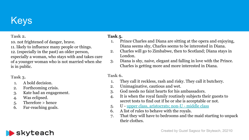# Keys

#### **Task 2.**

10. not [frightened](https://dictionary.cambridge.org/ru/%D1%81%D0%BB%D0%BE%D0%B2%D0%B0%D1%80%D1%8C/%D0%B0%D0%BD%D0%B3%D0%BB%D0%B8%D0%B9%D1%81%D0%BA%D0%B8%D0%B9/frightened) of [danger,](https://dictionary.cambridge.org/ru/%D1%81%D0%BB%D0%BE%D0%B2%D0%B0%D1%80%D1%8C/%D0%B0%D0%BD%D0%B3%D0%BB%D0%B8%D0%B9%D1%81%D0%BA%D0%B8%D0%B9/danger) brave.

11. [likely](https://dictionary.cambridge.org/ru/%D1%81%D0%BB%D0%BE%D0%B2%D0%B0%D1%80%D1%8C/%D0%B0%D0%BD%D0%B3%D0%BB%D0%B8%D0%B9%D1%81%D0%BA%D0%B8%D0%B9/likely) to [influence](https://dictionary.cambridge.org/ru/%D1%81%D0%BB%D0%BE%D0%B2%D0%B0%D1%80%D1%8C/%D0%B0%D0%BD%D0%B3%D0%BB%D0%B8%D0%B9%D1%81%D0%BA%D0%B8%D0%B9/influence) many [people](https://dictionary.cambridge.org/ru/%D1%81%D0%BB%D0%BE%D0%B2%D0%B0%D1%80%D1%8C/%D0%B0%D0%BD%D0%B3%D0%BB%D0%B8%D0%B9%D1%81%D0%BA%D0%B8%D0%B9/people) or things. 12. ([especially](https://dictionary.cambridge.org/ru/%D1%81%D0%BB%D0%BE%D0%B2%D0%B0%D1%80%D1%8C/%D0%B0%D0%BD%D0%B3%D0%BB%D0%B8%D0%B9%D1%81%D0%BA%D0%B8%D0%B9/especially) in the past) an [older](https://dictionary.cambridge.org/ru/%D1%81%D0%BB%D0%BE%D0%B2%D0%B0%D1%80%D1%8C/%D0%B0%D0%BD%D0%B3%D0%BB%D0%B8%D0%B9%D1%81%D0%BA%D0%B8%D0%B9/old) [person,](https://dictionary.cambridge.org/ru/%D1%81%D0%BB%D0%BE%D0%B2%D0%B0%D1%80%D1%8C/%D0%B0%D0%BD%D0%B3%D0%BB%D0%B8%D0%B9%D1%81%D0%BA%D0%B8%D0%B9/person) [especially](https://dictionary.cambridge.org/ru/%D1%81%D0%BB%D0%BE%D0%B2%D0%B0%D1%80%D1%8C/%D0%B0%D0%BD%D0%B3%D0%BB%D0%B8%D0%B9%D1%81%D0%BA%D0%B8%D0%B9/especially) a woman, who [stays](https://dictionary.cambridge.org/ru/%D1%81%D0%BB%D0%BE%D0%B2%D0%B0%D1%80%D1%8C/%D0%B0%D0%BD%D0%B3%D0%BB%D0%B8%D0%B9%D1%81%D0%BA%D0%B8%D0%B9/stay) with and [takes](https://dictionary.cambridge.org/ru/%D1%81%D0%BB%D0%BE%D0%B2%D0%B0%D1%80%D1%8C/%D0%B0%D0%BD%D0%B3%D0%BB%D0%B8%D0%B9%D1%81%D0%BA%D0%B8%D0%B9/take) [care](https://dictionary.cambridge.org/ru/%D1%81%D0%BB%D0%BE%D0%B2%D0%B0%D1%80%D1%8C/%D0%B0%D0%BD%D0%B3%D0%BB%D0%B8%D0%B9%D1%81%D0%BA%D0%B8%D0%B9/care) of a [younger](https://dictionary.cambridge.org/ru/%D1%81%D0%BB%D0%BE%D0%B2%D0%B0%D1%80%D1%8C/%D0%B0%D0%BD%D0%B3%D0%BB%D0%B8%D0%B9%D1%81%D0%BA%D0%B8%D0%B9/young) woman who is not [married](https://dictionary.cambridge.org/ru/%D1%81%D0%BB%D0%BE%D0%B2%D0%B0%D1%80%D1%8C/%D0%B0%D0%BD%D0%B3%D0%BB%D0%B8%D0%B9%D1%81%D0%BA%D0%B8%D0%B9/married) when she is in [public](https://dictionary.cambridge.org/ru/%D1%81%D0%BB%D0%BE%D0%B2%D0%B0%D1%80%D1%8C/%D0%B0%D0%BD%D0%B3%D0%BB%D0%B8%D0%B9%D1%81%D0%BA%D0%B8%D0%B9/public).

**Task 3.**

- 1. A bold decision.
- 2. Forthcoming crisis.
- 3. Kate had an engagement.
- 4. Was eclipsed.
- 5. Therefore > hence
- 6. Far-reaching goals.

#### **Task 5.**

- 1. Prince Charles and Diana are sitting at the opera and enjoying, Diana seems shy, Charles seems to be interested in Diana.
- 2. Charles will go to Zimbabwe, then to Scotland; Diana stays in London.
- 3. Diana is shy, naive, elegant and falling in love with the Prince. Charles is getting more and more interested in Diana.

#### **Task 6.**

- 1. They call it reckless, rash and risky. They call it butchery.
- 2. Unimaginative, cautious and wet.
- 3. God needs no faint hearts for his ambassadors.
- 4. It is when the royal family routinely subjects their guests to secret tests to find out if he or she is acceptable or not.
- 5. U - [upper class, aristocrats; non-U middle class](https://ru.wikipedia.org/wiki/U_English)
- 6. A list of rules to behave with the royals.
- 7. That they will have to bedrooms and the maid starting to unpack their clothes.